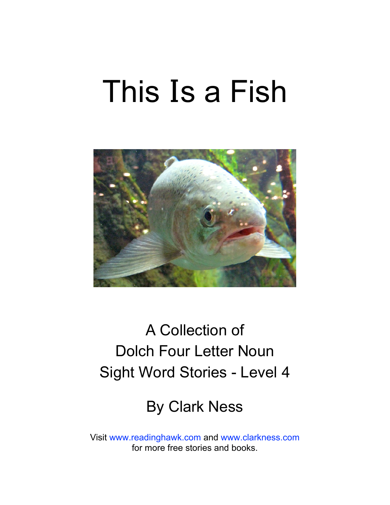# This **I**s a Fish



## A Collection of Dolch Four Letter Noun Sight Word Stories - Level 4

### By Clark Ness

Visit [www.readinghawk.com](http://www.readinghawk.com) and [www.clarkness.com](http://www.clarkness.com) for more free stories and books.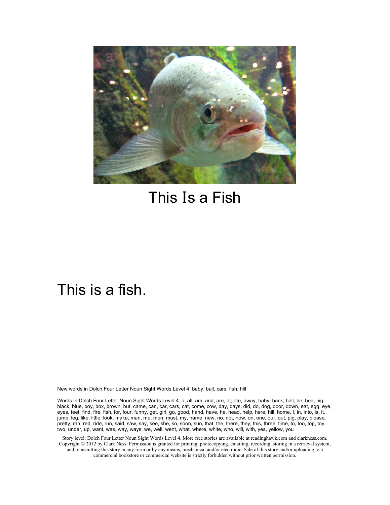

### This **I**s a Fish

#### This is a fish.

New words in Dolch Four Letter Noun Sight Words Level 4: baby, ball, cars, fish, hill

Words in Dolch Four Letter Noun Sight Words Level 4: a, all, am, and, are, at, ate, away, baby, back, ball, be, bed, big, black, blue, boy, box, brown, but, came, can, car, cars, cat, come, cow, day, days, did, do, dog, door, down, eat, egg, eye, eyes, feet, find, fire, fish, for, four, funny, get, girl, go, good, hand, have, he, head, help, here, hill, home, I, in, into, is, it, jump, leg, like, little, look, make, man, me, men, must, my, name, new, no, not, now, on, one, our, out, pig, play, please, pretty, ran, red, ride, run, said, saw, say, see, she, so, soon, sun, that, the, there, they, this, three, time, to, too, top, toy, two, under, up, want, was, way, ways, we, well, went, what, where, white, who, will, with, yes, yellow, you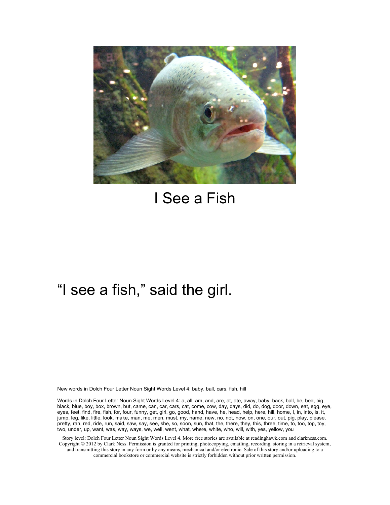

### I See a Fish

### "I see a fish," said the girl.

New words in Dolch Four Letter Noun Sight Words Level 4: baby, ball, cars, fish, hill

Words in Dolch Four Letter Noun Sight Words Level 4: a, all, am, and, are, at, ate, away, baby, back, ball, be, bed, big, black, blue, boy, box, brown, but, came, can, car, cars, cat, come, cow, day, days, did, do, dog, door, down, eat, egg, eye, eyes, feet, find, fire, fish, for, four, funny, get, girl, go, good, hand, have, he, head, help, here, hill, home, I, in, into, is, it, jump, leg, like, little, look, make, man, me, men, must, my, name, new, no, not, now, on, one, our, out, pig, play, please, pretty, ran, red, ride, run, said, saw, say, see, she, so, soon, sun, that, the, there, they, this, three, time, to, too, top, toy, two, under, up, want, was, way, ways, we, well, went, what, where, white, who, will, with, yes, yellow, you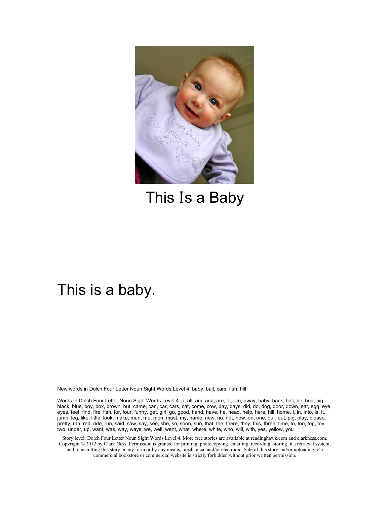

This **I**s a Baby

#### This is a baby.

New words in Dolch Four Letter Noun Sight Words Level 4: baby, ball, cars, fish, hill

Words in Dolch Four Letter Noun Sight Words Level 4: a, all, am, and, are, at, ate, away, baby, back, ball, be, bed, big, black, blue, boy, box, brown, but, came, can, car, cars, cat, come, cow, day, days, did, do, dog, door, down, eat, egg, eye, eyes, feet, find, fire, fish, for, four, funny, get, girl, go, good, hand, have, he, head, help, here, hill, home, I, in, into, is, it, jump, leg, like, little, look, make, man, me, men, must, my, name, new, no, not, now, on, one, our, out, pig, play, please, pretty, ran, red, ride, run, said, saw, say, see, she, so, soon, sun, that, the, there, they, this, three, time, to, too, top, toy, two, under, up, want, was, way, ways, we, well, went, what, where, white, who, will, with, yes, yellow, you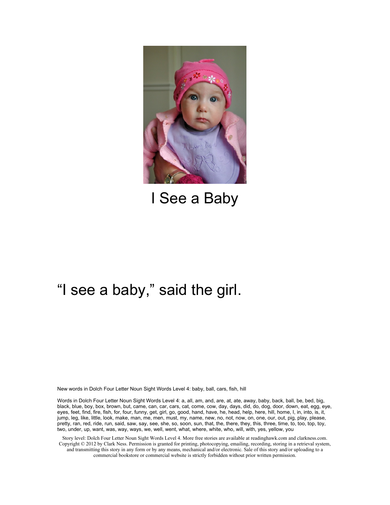

I See a Baby

### "I see a baby," said the girl.

New words in Dolch Four Letter Noun Sight Words Level 4: baby, ball, cars, fish, hill

Words in Dolch Four Letter Noun Sight Words Level 4: a, all, am, and, are, at, ate, away, baby, back, ball, be, bed, big, black, blue, boy, box, brown, but, came, can, car, cars, cat, come, cow, day, days, did, do, dog, door, down, eat, egg, eye, eyes, feet, find, fire, fish, for, four, funny, get, girl, go, good, hand, have, he, head, help, here, hill, home, I, in, into, is, it, jump, leg, like, little, look, make, man, me, men, must, my, name, new, no, not, now, on, one, our, out, pig, play, please, pretty, ran, red, ride, run, said, saw, say, see, she, so, soon, sun, that, the, there, they, this, three, time, to, too, top, toy, two, under, up, want, was, way, ways, we, well, went, what, where, white, who, will, with, yes, yellow, you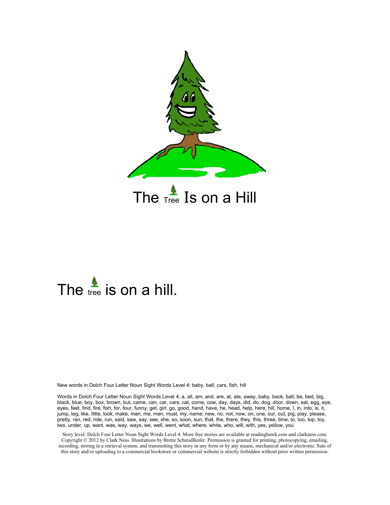

# The  $\frac{2}{\text{tree}}$  is on a hill.

New words in Dolch Four Letter Noun Sight Words Level 4: baby, ball, cars, fish, hill

Words in Dolch Four Letter Noun Sight Words Level 4: a, all, am, and, are, at, ate, away, baby, back, ball, be, bed, big, black, blue, boy, box, brown, but, came, can, car, cars, cat, come, cow, day, days, did, do, dog, door, down, eat, egg, eye, eyes, feet, find, fire, fish, for, four, funny, get, girl, go, good, hand, have, he, head, help, here, hill, home, I, in, into, is, it, jump, leg, like, little, look, make, man, me, men, must, my, name, new, no, not, now, on, one, our, out, pig, play, please, pretty, ran, red, ride, run, said, saw, say, see, she, so, soon, sun, that, the, there, they, this, three, time, to, too, top, toy, two, under, up, want, was, way, ways, we, well, went, what, where, white, who, will, with, yes, yellow, you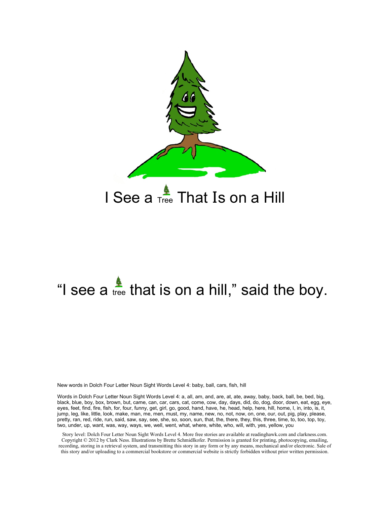

# "I see a  $\frac{2}{\epsilon}$  that is on a hill," said the boy.

New words in Dolch Four Letter Noun Sight Words Level 4: baby, ball, cars, fish, hill

Words in Dolch Four Letter Noun Sight Words Level 4: a, all, am, and, are, at, ate, away, baby, back, ball, be, bed, big, black, blue, boy, box, brown, but, came, can, car, cars, cat, come, cow, day, days, did, do, dog, door, down, eat, egg, eye, eyes, feet, find, fire, fish, for, four, funny, get, girl, go, good, hand, have, he, head, help, here, hill, home, I, in, into, is, it, jump, leg, like, little, look, make, man, me, men, must, my, name, new, no, not, now, on, one, our, out, pig, play, please, pretty, ran, red, ride, run, said, saw, say, see, she, so, soon, sun, that, the, there, they, this, three, time, to, too, top, toy, two, under, up, want, was, way, ways, we, well, went, what, where, white, who, will, with, yes, yellow, you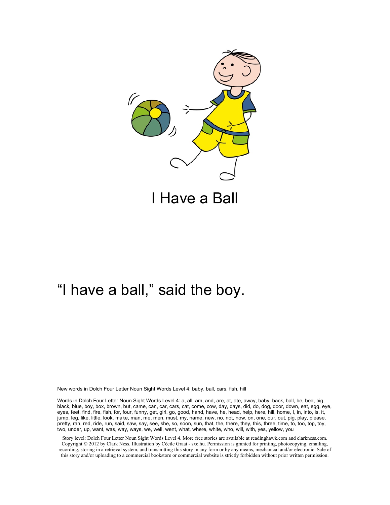

### "I have a ball," said the boy.

New words in Dolch Four Letter Noun Sight Words Level 4: baby, ball, cars, fish, hill

Words in Dolch Four Letter Noun Sight Words Level 4: a, all, am, and, are, at, ate, away, baby, back, ball, be, bed, big, black, blue, boy, box, brown, but, came, can, car, cars, cat, come, cow, day, days, did, do, dog, door, down, eat, egg, eye, eyes, feet, find, fire, fish, for, four, funny, get, girl, go, good, hand, have, he, head, help, here, hill, home, I, in, into, is, it, jump, leg, like, little, look, make, man, me, men, must, my, name, new, no, not, now, on, one, our, out, pig, play, please, pretty, ran, red, ride, run, said, saw, say, see, she, so, soon, sun, that, the, there, they, this, three, time, to, too, top, toy, two, under, up, want, was, way, ways, we, well, went, what, where, white, who, will, with, yes, yellow, you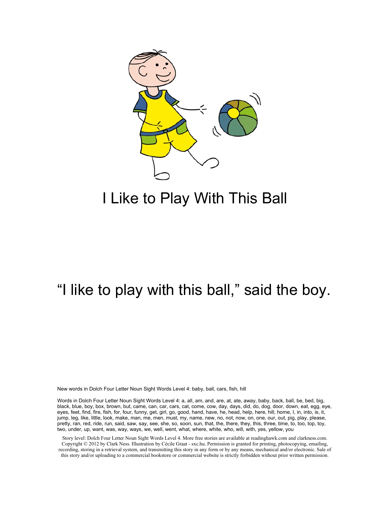

### I Like to Play With This Ball

### "I like to play with this ball," said the boy.

New words in Dolch Four Letter Noun Sight Words Level 4: baby, ball, cars, fish, hill

Words in Dolch Four Letter Noun Sight Words Level 4: a, all, am, and, are, at, ate, away, baby, back, ball, be, bed, big, black, blue, boy, box, brown, but, came, can, car, cars, cat, come, cow, day, days, did, do, dog, door, down, eat, egg, eye, eyes, feet, find, fire, fish, for, four, funny, get, girl, go, good, hand, have, he, head, help, here, hill, home, I, in, into, is, it, jump, leg, like, little, look, make, man, me, men, must, my, name, new, no, not, now, on, one, our, out, pig, play, please, pretty, ran, red, ride, run, said, saw, say, see, she, so, soon, sun, that, the, there, they, this, three, time, to, too, top, toy, two, under, up, want, was, way, ways, we, well, went, what, where, white, who, will, with, yes, yellow, you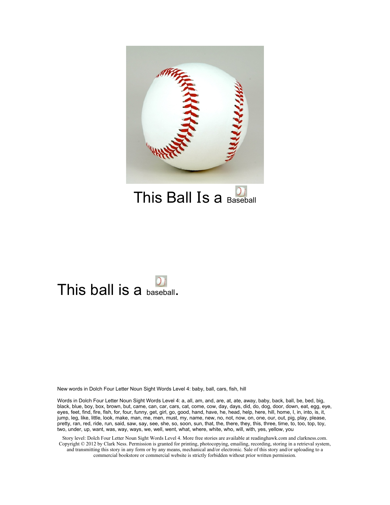

This Ball Is a Baseball

### This ball is a baseball.

New words in Dolch Four Letter Noun Sight Words Level 4: baby, ball, cars, fish, hill

Words in Dolch Four Letter Noun Sight Words Level 4: a, all, am, and, are, at, ate, away, baby, back, ball, be, bed, big, black, blue, boy, box, brown, but, came, can, car, cars, cat, come, cow, day, days, did, do, dog, door, down, eat, egg, eye, eyes, feet, find, fire, fish, for, four, funny, get, girl, go, good, hand, have, he, head, help, here, hill, home, I, in, into, is, it, jump, leg, like, little, look, make, man, me, men, must, my, name, new, no, not, now, on, one, our, out, pig, play, please, pretty, ran, red, ride, run, said, saw, say, see, she, so, soon, sun, that, the, there, they, this, three, time, to, too, top, toy, two, under, up, want, was, way, ways, we, well, went, what, where, white, who, will, with, yes, yellow, you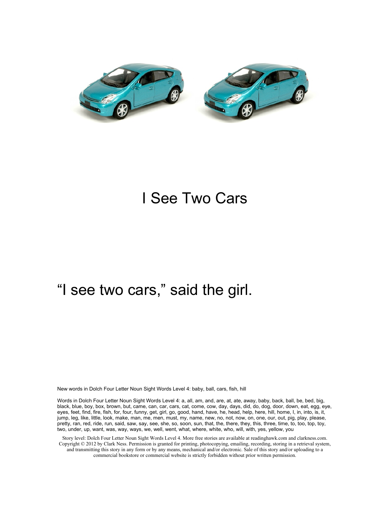

### I See Two Cars

### "I see two cars," said the girl.

New words in Dolch Four Letter Noun Sight Words Level 4: baby, ball, cars, fish, hill

Words in Dolch Four Letter Noun Sight Words Level 4: a, all, am, and, are, at, ate, away, baby, back, ball, be, bed, big, black, blue, boy, box, brown, but, came, can, car, cars, cat, come, cow, day, days, did, do, dog, door, down, eat, egg, eye, eyes, feet, find, fire, fish, for, four, funny, get, girl, go, good, hand, have, he, head, help, here, hill, home, I, in, into, is, it, jump, leg, like, little, look, make, man, me, men, must, my, name, new, no, not, now, on, one, our, out, pig, play, please, pretty, ran, red, ride, run, said, saw, say, see, she, so, soon, sun, that, the, there, they, this, three, time, to, too, top, toy, two, under, up, want, was, way, ways, we, well, went, what, where, white, who, will, with, yes, yellow, you